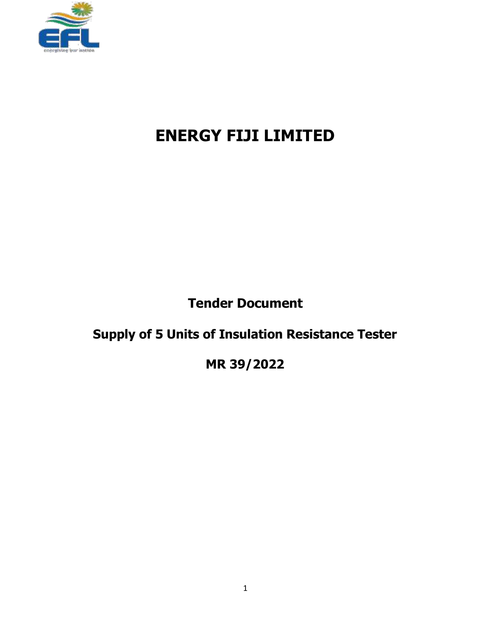

# **ENERGY FIJI LIMITED**

**Tender Document**

# **Supply of 5 Units of Insulation Resistance Tester**

**MR 39/2022**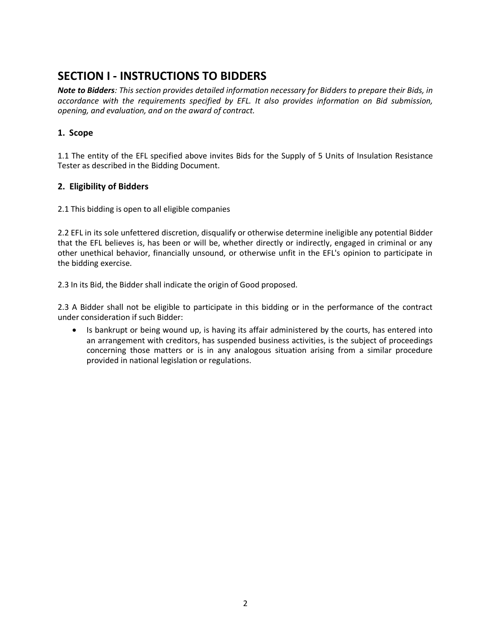### **SECTION I - INSTRUCTIONS TO BIDDERS**

*Note to Bidders: This section provides detailed information necessary for Bidders to prepare their Bids, in accordance with the requirements specified by EFL. It also provides information on Bid submission, opening, and evaluation, and on the award of contract.*

### **1. Scope**

1.1 The entity of the EFL specified above invites Bids for the Supply of 5 Units of Insulation Resistance Tester as described in the Bidding Document.

### **2. Eligibility of Bidders**

2.1 This bidding is open to all eligible companies

2.2 EFL in its sole unfettered discretion, disqualify or otherwise determine ineligible any potential Bidder that the EFL believes is, has been or will be, whether directly or indirectly, engaged in criminal or any other unethical behavior, financially unsound, or otherwise unfit in the EFL's opinion to participate in the bidding exercise.

2.3 In its Bid, the Bidder shall indicate the origin of Good proposed.

2.3 A Bidder shall not be eligible to participate in this bidding or in the performance of the contract under consideration if such Bidder:

 Is bankrupt or being wound up, is having its affair administered by the courts, has entered into an arrangement with creditors, has suspended business activities, is the subject of proceedings concerning those matters or is in any analogous situation arising from a similar procedure provided in national legislation or regulations.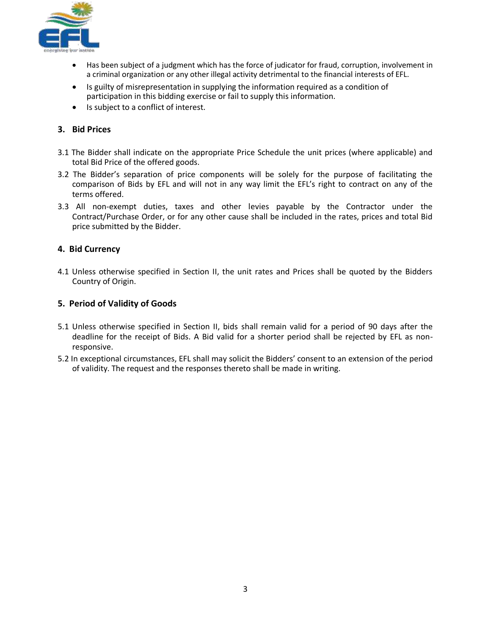

- Has been subject of a judgment which has the force of judicator for fraud, corruption, involvement in a criminal organization or any other illegal activity detrimental to the financial interests of EFL.
- Is guilty of misrepresentation in supplying the information required as a condition of participation in this bidding exercise or fail to supply this information.
- Is subject to a conflict of interest.

### **3. Bid Prices**

- 3.1 The Bidder shall indicate on the appropriate Price Schedule the unit prices (where applicable) and total Bid Price of the offered goods.
- 3.2 The Bidder's separation of price components will be solely for the purpose of facilitating the comparison of Bids by EFL and will not in any way limit the EFL's right to contract on any of the terms offered.
- 3.3 All non-exempt duties, taxes and other levies payable by the Contractor under the Contract/Purchase Order, or for any other cause shall be included in the rates, prices and total Bid price submitted by the Bidder.

### **4. Bid Currency**

4.1 Unless otherwise specified in Section II, the unit rates and Prices shall be quoted by the Bidders Country of Origin.

### **5. Period of Validity of Goods**

- 5.1 Unless otherwise specified in Section II, bids shall remain valid for a period of 90 days after the deadline for the receipt of Bids. A Bid valid for a shorter period shall be rejected by EFL as nonresponsive.
- 5.2 In exceptional circumstances, EFL shall may solicit the Bidders' consent to an extension of the period of validity. The request and the responses thereto shall be made in writing.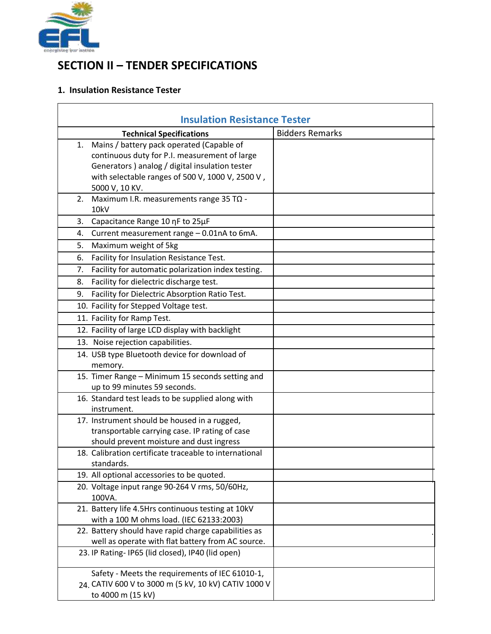

 $\overline{a}$ 

### **SECTION II – TENDER SPECIFICATIONS**

### **1. Insulation Resistance Tester**

| <b>Insulation Resistance Tester</b> |                                                        |                        |
|-------------------------------------|--------------------------------------------------------|------------------------|
|                                     | <b>Technical Specifications</b>                        | <b>Bidders Remarks</b> |
| 1.                                  | Mains / battery pack operated (Capable of              |                        |
|                                     | continuous duty for P.I. measurement of large          |                        |
|                                     | Generators ) analog / digital insulation tester        |                        |
|                                     | with selectable ranges of 500 V, 1000 V, 2500 V,       |                        |
|                                     | 5000 V, 10 KV.                                         |                        |
| 2.                                  | Maximum I.R. measurements range 35 TΩ -                |                        |
|                                     | 10kV                                                   |                        |
| 3.                                  | Capacitance Range 10 nF to 25µF                        |                        |
| 4.                                  | Current measurement range - 0.01nA to 6mA.             |                        |
| 5.                                  | Maximum weight of 5kg                                  |                        |
| 6.                                  | Facility for Insulation Resistance Test.               |                        |
| 7.                                  | Facility for automatic polarization index testing.     |                        |
| 8.                                  | Facility for dielectric discharge test.                |                        |
| 9.                                  | Facility for Dielectric Absorption Ratio Test.         |                        |
|                                     | 10. Facility for Stepped Voltage test.                 |                        |
|                                     | 11. Facility for Ramp Test.                            |                        |
|                                     | 12. Facility of large LCD display with backlight       |                        |
|                                     | 13. Noise rejection capabilities.                      |                        |
|                                     | 14. USB type Bluetooth device for download of          |                        |
|                                     | memory.                                                |                        |
|                                     | 15. Timer Range - Minimum 15 seconds setting and       |                        |
|                                     | up to 99 minutes 59 seconds.                           |                        |
|                                     | 16. Standard test leads to be supplied along with      |                        |
|                                     | instrument.                                            |                        |
|                                     | 17. Instrument should be housed in a rugged,           |                        |
|                                     | transportable carrying case. IP rating of case         |                        |
|                                     | should prevent moisture and dust ingress               |                        |
|                                     | 18. Calibration certificate traceable to international |                        |
|                                     | standards.                                             |                        |
|                                     | 19. All optional accessories to be quoted.             |                        |
|                                     | 20. Voltage input range 90-264 V rms, 50/60Hz,         |                        |
|                                     | 100VA.                                                 |                        |
|                                     | 21. Battery life 4.5Hrs continuous testing at 10kV     |                        |
|                                     | with a 100 M ohms load. (IEC 62133:2003)               |                        |
|                                     | 22. Battery should have rapid charge capabilities as   |                        |
|                                     | well as operate with flat battery from AC source.      |                        |
|                                     | 23. IP Rating- IP65 (lid closed), IP40 (lid open)      |                        |
|                                     | Safety - Meets the requirements of IEC 61010-1,        |                        |
|                                     | 24. CATIV 600 V to 3000 m (5 kV, 10 kV) CATIV 1000 V   |                        |
|                                     | to 4000 m (15 kV)                                      |                        |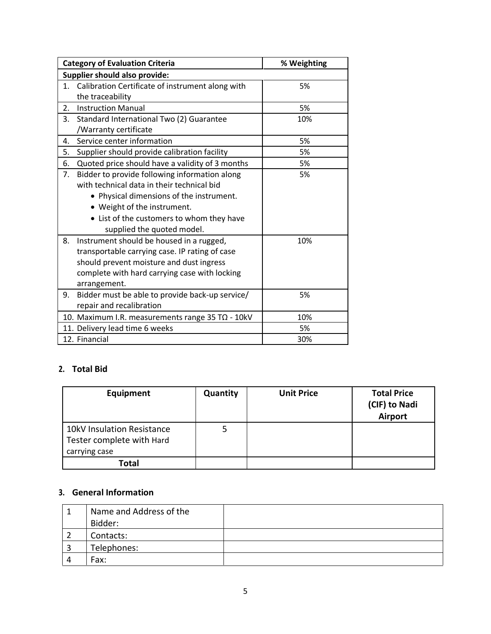| <b>Category of Evaluation Criteria</b>                                                                                                                                                                                                                                                                                                                                                                                                                   | % Weighting |
|----------------------------------------------------------------------------------------------------------------------------------------------------------------------------------------------------------------------------------------------------------------------------------------------------------------------------------------------------------------------------------------------------------------------------------------------------------|-------------|
| <b>Supplier should also provide:</b>                                                                                                                                                                                                                                                                                                                                                                                                                     |             |
| Calibration Certificate of instrument along with<br>1.<br>the traceability                                                                                                                                                                                                                                                                                                                                                                               | 5%          |
| <b>Instruction Manual</b><br>2.                                                                                                                                                                                                                                                                                                                                                                                                                          | 5%          |
| 3.<br>Standard International Two (2) Guarantee<br>/Warranty certificate                                                                                                                                                                                                                                                                                                                                                                                  | 10%         |
| Service center information<br>4.                                                                                                                                                                                                                                                                                                                                                                                                                         | 5%          |
| 5.<br>Supplier should provide calibration facility                                                                                                                                                                                                                                                                                                                                                                                                       | 5%          |
| Quoted price should have a validity of 3 months<br>6.                                                                                                                                                                                                                                                                                                                                                                                                    | 5%          |
| 7.<br>Bidder to provide following information along<br>with technical data in their technical bid<br>• Physical dimensions of the instrument.<br>• Weight of the instrument.<br>• List of the customers to whom they have<br>supplied the quoted model.<br>Instrument should be housed in a rugged,<br>8.<br>transportable carrying case. IP rating of case<br>should prevent moisture and dust ingress<br>complete with hard carrying case with locking | 5%<br>10%   |
| arrangement.<br>9. Bidder must be able to provide back-up service/                                                                                                                                                                                                                                                                                                                                                                                       | 5%          |
| repair and recalibration                                                                                                                                                                                                                                                                                                                                                                                                                                 |             |
| 10. Maximum I.R. measurements range $35$ T $\Omega$ - 10kV                                                                                                                                                                                                                                                                                                                                                                                               | 10%         |
| 11. Delivery lead time 6 weeks                                                                                                                                                                                                                                                                                                                                                                                                                           | 5%          |
| 12. Financial                                                                                                                                                                                                                                                                                                                                                                                                                                            | 30%         |

### **2. Total Bid**

| Equipment                                                                | <b>Quantity</b> | <b>Unit Price</b> | <b>Total Price</b><br>(CIF) to Nadi<br><b>Airport</b> |
|--------------------------------------------------------------------------|-----------------|-------------------|-------------------------------------------------------|
| 10kV Insulation Resistance<br>Tester complete with Hard<br>carrying case | 5               |                   |                                                       |
| Total                                                                    |                 |                   |                                                       |

### **3. General Information**

| Name and Address of the |  |
|-------------------------|--|
| Bidder:                 |  |
| Contacts:               |  |
| Telephones:             |  |
| Fax:                    |  |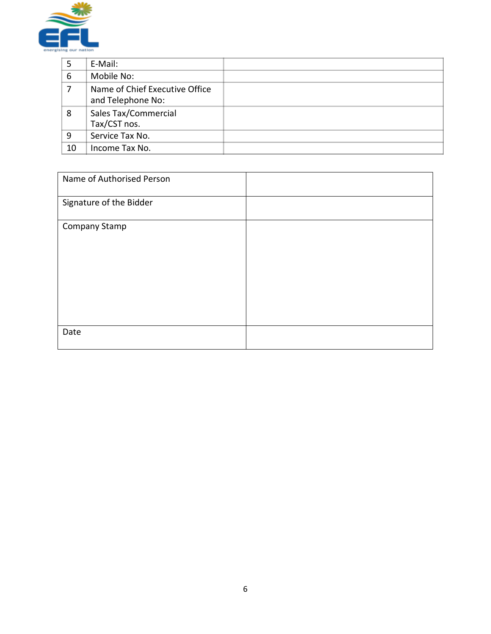

| 5  | E-Mail:                                             |  |
|----|-----------------------------------------------------|--|
| 6  | Mobile No:                                          |  |
|    | Name of Chief Executive Office<br>and Telephone No: |  |
| 8  | Sales Tax/Commercial<br>Tax/CST nos.                |  |
| 9  | Service Tax No.                                     |  |
| 10 | Income Tax No.                                      |  |

| Name of Authorised Person |  |
|---------------------------|--|
| Signature of the Bidder   |  |
| Company Stamp             |  |
| Date                      |  |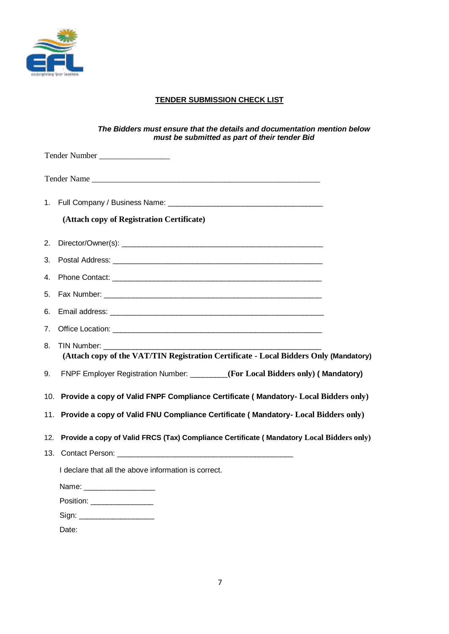

### **TENDER SUBMISSION CHECK LIST**

#### *The Bidders must ensure that the details and documentation mention below must be submitted as part of their tender Bid*

|     | Tender Number                                                                                                         |  |
|-----|-----------------------------------------------------------------------------------------------------------------------|--|
|     |                                                                                                                       |  |
|     |                                                                                                                       |  |
|     | (Attach copy of Registration Certificate)                                                                             |  |
| 2.  |                                                                                                                       |  |
| 3.  |                                                                                                                       |  |
| 4.  |                                                                                                                       |  |
| 5.  |                                                                                                                       |  |
| 6.  |                                                                                                                       |  |
| 7.  |                                                                                                                       |  |
| 8.  | TIN Number: ________________<br>(Attach copy of the VAT/TIN Registration Certificate - Local Bidders Only (Mandatory) |  |
| 9.  | FNPF Employer Registration Number: _______(For Local Bidders only) (Mandatory)                                        |  |
|     | 10. Provide a copy of Valid FNPF Compliance Certificate (Mandatory- Local Bidders only)                               |  |
| 11. | Provide a copy of Valid FNU Compliance Certificate (Mandatory- Local Bidders only)                                    |  |
| 12. | Provide a copy of Valid FRCS (Tax) Compliance Certificate (Mandatory Local Bidders only)                              |  |
|     |                                                                                                                       |  |
|     | I declare that all the above information is correct.                                                                  |  |
|     | Name: ___________________                                                                                             |  |
|     | Position: ________________                                                                                            |  |
|     |                                                                                                                       |  |
|     | Date:                                                                                                                 |  |